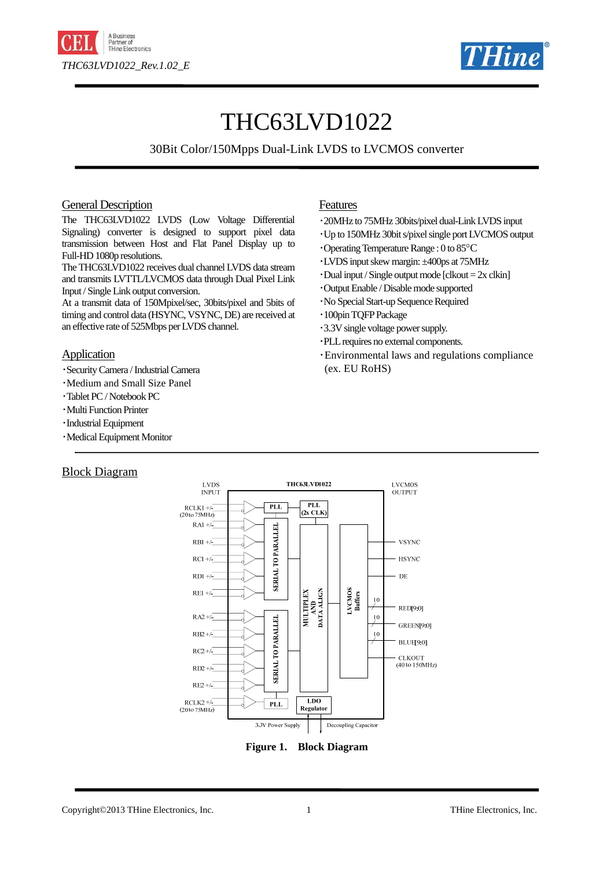



# THC63LVD1022

## 30Bit Color/150Mpps Dual-Link LVDS to LVCMOS converter

#### General Description

The THC63LVD1022 LVDS (Low Voltage Differential Signaling) converter is designed to support pixel data transmission between Host and Flat Panel Display up to Full-HD 1080p resolutions.

The THC63LVD1022 receives dual channel LVDS data stream and transmits LVTTL/LVCMOS data through Dual Pixel Link Input / Single Link output conversion.

At a transmit data of 150Mpixel/sec, 30bits/pixel and 5bits of timing and control data (HSYNC, VSYNC, DE) are received at an effective rate of 525Mbps per LVDS channel.

#### **Application**

- ・Security Camera / Industrial Camera
- ・Medium and Small Size Panel
- ・Tablet PC / Notebook PC
- ・Multi Function Printer
- ・Industrial Equipment
- ・Medical Equipment Monitor

## Block Diagram

## Features

- ・20MHz to 75MHz 30bits/pixel dual-Link LVDS input
- ・Up to 150MHz 30bit s/pixel single port LVCMOS output
- ・Operating Temperature Range : 0 to 85°C
- ・LVDS input skew margin: ±400ps at 75MHz
- $\cdot$ Dual input / Single output mode [clkout = 2x clkin]
- ・Output Enable / Disable mode supported
- ・No Special Start-up Sequence Required
- ・100pin TQFP Package
- ・3.3V single voltage power supply.
- ・PLL requires no external components.
- ・Environmental laws and regulations compliance (ex. EU RoHS)



**Figure 1. Block Diagram**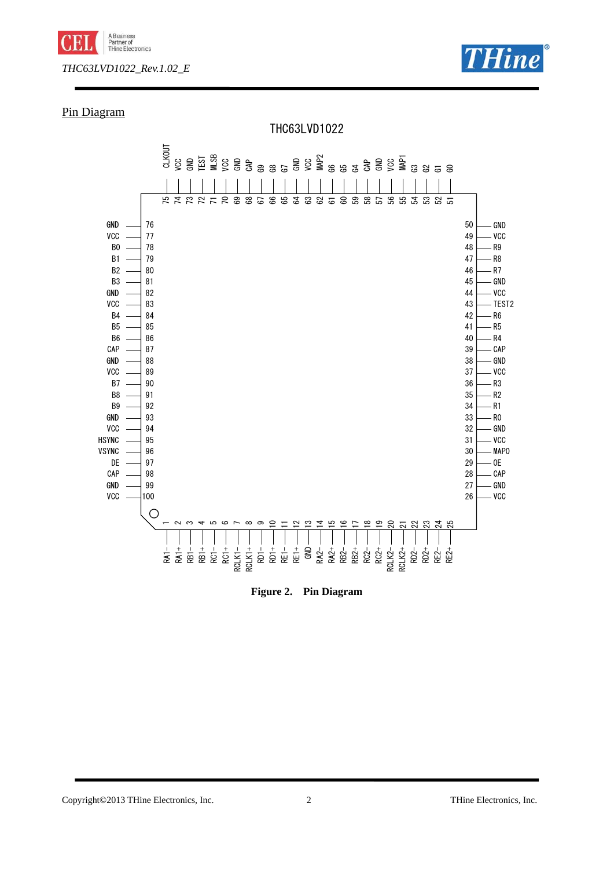



## Pin Diagram



#### **Figure 2. Pin Diagram**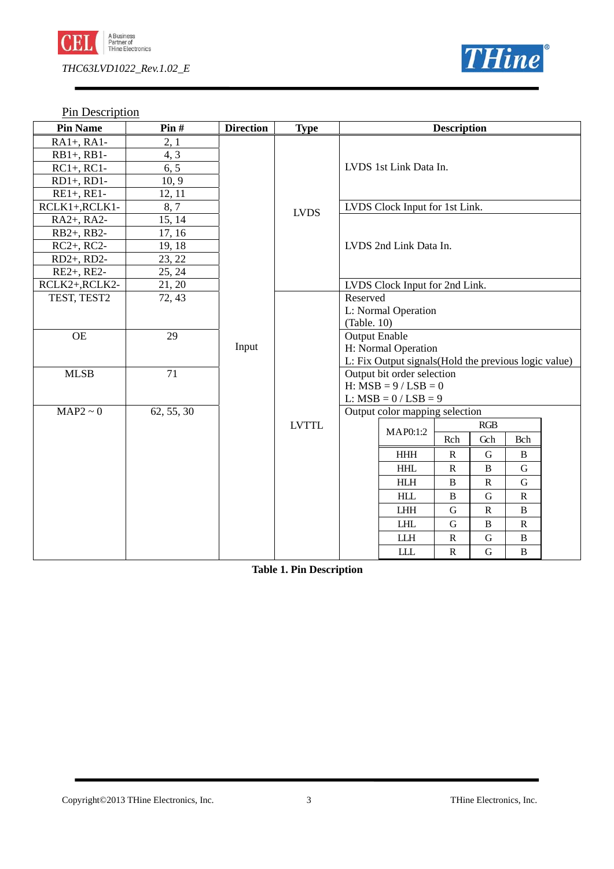

**Pin Description** 

| <b>Pin Name</b> | Pin#       | <b>Direction</b> | <b>Type</b>  | <b>Description</b> |                                                       |              |              |              |  |
|-----------------|------------|------------------|--------------|--------------------|-------------------------------------------------------|--------------|--------------|--------------|--|
| $RA1+, RA1-$    | 2, 1       |                  |              |                    |                                                       |              |              |              |  |
| $RB1+, RB1-$    | 4, 3       |                  |              |                    |                                                       |              |              |              |  |
| $RC1+, RC1-$    | 6, 5       |                  |              |                    | LVDS 1st Link Data In.                                |              |              |              |  |
| $RD1+, RD1-$    | 10, 9      |                  |              |                    |                                                       |              |              |              |  |
| $RE1+, RE1-$    | 12, 11     |                  |              |                    |                                                       |              |              |              |  |
| RCLK1+, RCLK1-  | 8, 7       |                  | <b>LVDS</b>  |                    | LVDS Clock Input for 1st Link.                        |              |              |              |  |
| RA2+, RA2-      | 15, 14     |                  |              |                    |                                                       |              |              |              |  |
| RB2+, RB2-      | 17, 16     |                  |              |                    |                                                       |              |              |              |  |
| $RC2+$ , $RC2-$ | 19, 18     |                  |              |                    | LVDS 2nd Link Data In.                                |              |              |              |  |
| RD2+, RD2-      | 23, 22     |                  |              |                    |                                                       |              |              |              |  |
| RE2+, RE2-      | 25, 24     |                  |              |                    |                                                       |              |              |              |  |
| RCLK2+,RCLK2-   | 21, 20     |                  |              |                    | LVDS Clock Input for 2nd Link.                        |              |              |              |  |
| TEST, TEST2     | 72, 43     |                  |              | Reserved           |                                                       |              |              |              |  |
|                 |            |                  |              |                    | L: Normal Operation                                   |              |              |              |  |
|                 |            |                  |              | (Table. 10)        |                                                       |              |              |              |  |
| <b>OE</b>       | 29         |                  |              |                    | <b>Output Enable</b>                                  |              |              |              |  |
|                 |            | Input            |              |                    | H: Normal Operation                                   |              |              |              |  |
|                 |            |                  |              |                    | L: Fix Output signals (Hold the previous logic value) |              |              |              |  |
| <b>MLSB</b>     | 71         |                  |              |                    | Output bit order selection                            |              |              |              |  |
|                 |            |                  |              |                    | $H: MSB = 9 / LSB = 0$                                |              |              |              |  |
|                 |            |                  |              |                    | L: $MSB = 0 / LSB = 9$                                |              |              |              |  |
| $MAP2 \sim 0$   | 62, 55, 30 |                  |              |                    | Output color mapping selection                        |              |              |              |  |
|                 |            |                  | <b>LVTTL</b> |                    |                                                       |              | RGB          |              |  |
|                 |            |                  |              |                    | MAP0:1:2                                              | Rch          | Gch          | Bch          |  |
|                 |            |                  |              |                    | $\rm HHH$                                             | ${\bf R}$    | $\mathbf G$  | $\, {\bf B}$ |  |
|                 |            |                  |              |                    | <b>HHL</b>                                            | ${\bf R}$    | $\bf{B}$     | $\mathbf G$  |  |
|                 |            |                  |              |                    | <b>HLH</b>                                            | B            | ${\bf R}$    | G            |  |
|                 |            |                  |              |                    | <b>HLL</b>                                            | $\bf{B}$     | G            | ${\bf R}$    |  |
|                 |            |                  |              |                    | <b>LHH</b>                                            | G            | $\mathbb{R}$ | B            |  |
|                 |            |                  |              |                    | <b>LHL</b>                                            | G            | $\bf{B}$     | $\mathbf R$  |  |
|                 |            |                  |              |                    | <b>LLH</b>                                            | $\mathbb{R}$ | G            | B            |  |
|                 |            |                  |              |                    | <b>LLL</b>                                            | ${\bf R}$    | G            | B            |  |

**Table 1. Pin Description**

**THine**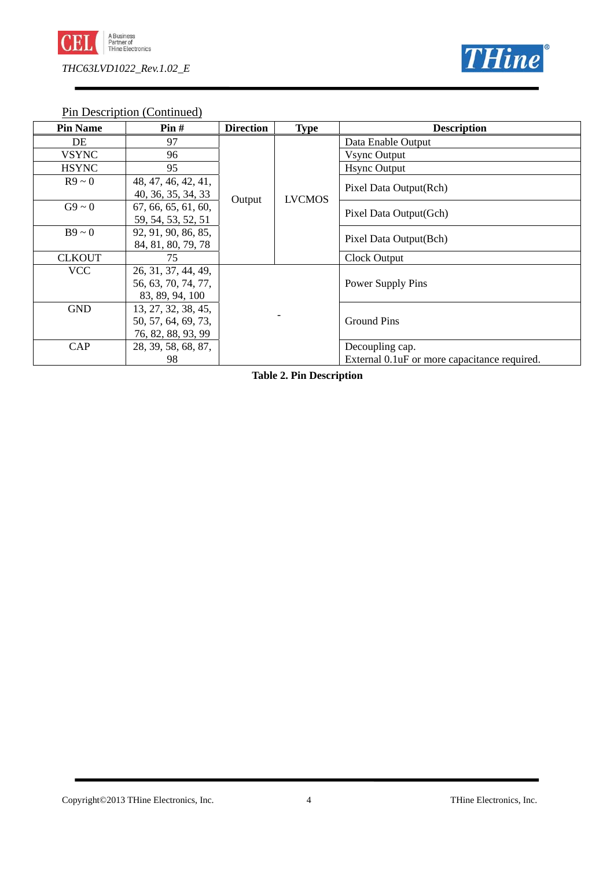



Pin Description (Continued)

| <b>Pin Name</b> | Pin#                | <b>Direction</b> | <b>Type</b>   | <b>Description</b>                            |  |
|-----------------|---------------------|------------------|---------------|-----------------------------------------------|--|
| DE              | 97                  |                  |               | Data Enable Output                            |  |
| <b>VSYNC</b>    | 96                  |                  |               | <b>Vsync Output</b>                           |  |
| <b>HSYNC</b>    | 95                  |                  |               | <b>Hsync Output</b>                           |  |
| $R9 \sim 0$     | 48, 47, 46, 42, 41, |                  |               | Pixel Data Output(Rch)                        |  |
|                 | 40, 36, 35, 34, 33  | Output           | <b>LVCMOS</b> |                                               |  |
| $G9 \sim 0$     | 67, 66, 65, 61, 60, |                  |               | Pixel Data Output(Gch)                        |  |
|                 | 59, 54, 53, 52, 51  |                  |               |                                               |  |
| $B9 \sim 0$     | 92, 91, 90, 86, 85, |                  |               | Pixel Data Output(Bch)                        |  |
|                 | 84, 81, 80, 79, 78  |                  |               |                                               |  |
| <b>CLKOUT</b>   | 75                  |                  |               | Clock Output                                  |  |
| <b>VCC</b>      | 26, 31, 37, 44, 49, |                  |               |                                               |  |
|                 | 56, 63, 70, 74, 77, |                  |               | Power Supply Pins                             |  |
|                 | 83, 89, 94, 100     |                  |               |                                               |  |
| <b>GND</b>      | 13, 27, 32, 38, 45, |                  |               |                                               |  |
|                 | 50, 57, 64, 69, 73, |                  |               | <b>Ground Pins</b>                            |  |
|                 | 76, 82, 88, 93, 99  |                  |               |                                               |  |
| CAP             | 28, 39, 58, 68, 87, |                  |               | Decoupling cap.                               |  |
|                 | 98                  |                  |               | External 0.1 uF or more capacitance required. |  |

**Table 2. Pin Description**

Copyright©2013 THine Electronics, Inc. 4 THine Electronics, Inc.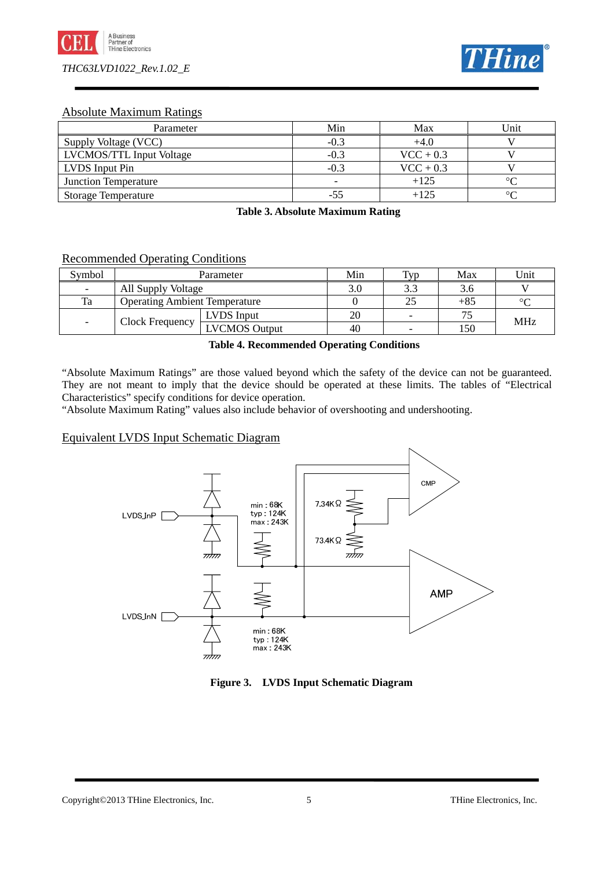



## Absolute Maximum Ratings

| Parameter                       | Min                      | Max         | Unit           |
|---------------------------------|--------------------------|-------------|----------------|
| Supply Voltage (VCC)            | $-0.3$                   | $+4.0$      |                |
| <b>LVCMOS/TTL Input Voltage</b> | $-0.3$                   | $VCC + 0.3$ |                |
| LVDS Input Pin                  | $-0.3$                   | $VCC + 0.3$ |                |
| <b>Junction Temperature</b>     | $\overline{\phantom{0}}$ | $+125$      | $\circ$ $\cap$ |
| <b>Storage Temperature</b>      | -55                      | $+125$      | $\circ$        |

**Table 3. Absolute Maximum Rating**

## Recommended Operating Conditions

| Symbol                   | Parameter                            |                      | Min | T <sub>VD</sub> | Max   | Unit       |
|--------------------------|--------------------------------------|----------------------|-----|-----------------|-------|------------|
| $\overline{\phantom{0}}$ | All Supply Voltage                   |                      | 3.0 |                 |       |            |
| Ta                       | <b>Operating Ambient Temperature</b> |                      |     |                 | $+85$ | $\circ$    |
|                          |                                      | LVDS Input           | 20  |                 |       | <b>MHz</b> |
| $\overline{\phantom{0}}$ | Clock Frequency                      | <b>LVCMOS Output</b> |     |                 | 150   |            |

**Table 4. Recommended Operating Conditions**

"Absolute Maximum Ratings" are those valued beyond which the safety of the device can not be guaranteed. They are not meant to imply that the device should be operated at these limits. The tables of "Electrical Characteristics" specify conditions for device operation.

"Absolute Maximum Rating" values also include behavior of overshooting and undershooting.

## Equivalent LVDS Input Schematic Diagram



**Figure 3. LVDS Input Schematic Diagram**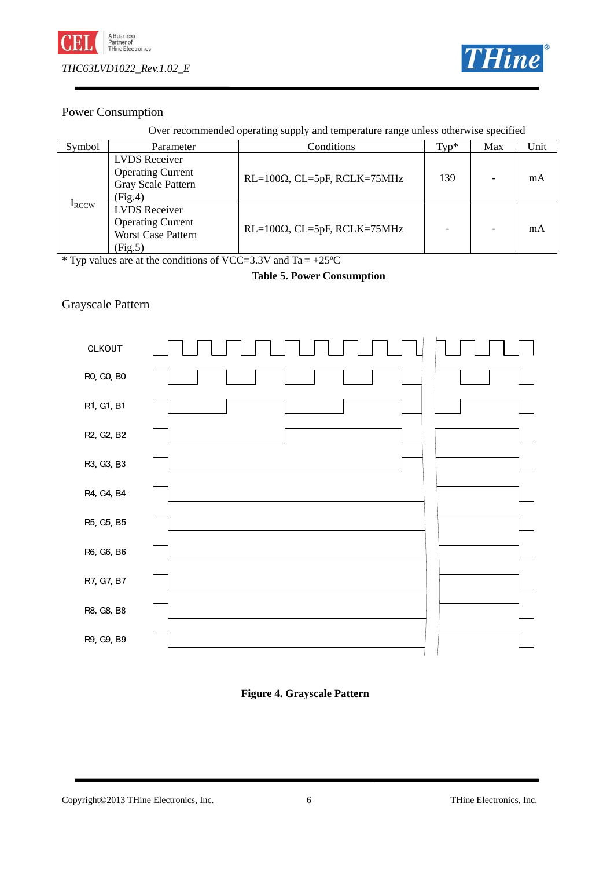



## Power Consumption

Over recommended operating supply and temperature range unless otherwise specified

| Symbol       | Parameter                                                                                | Conditions                          | $Typ^*$ | Max | Unit |
|--------------|------------------------------------------------------------------------------------------|-------------------------------------|---------|-----|------|
|              | <b>LVDS</b> Receiver<br><b>Operating Current</b><br>Gray Scale Pattern<br>(Fig.4)        | $RL=100\Omega$ , CL=5pF, RCLK=75MHz | 139     |     | mA   |
| <b>IRCCW</b> | <b>LVDS</b> Receiver<br><b>Operating Current</b><br><b>Worst Case Pattern</b><br>(Fig.5) | $RL=100\Omega$ , CL=5pF, RCLK=75MHz |         |     | mA   |

\* Typ values are at the conditions of VCC=3.3V and Ta =  $+25^{\circ}$ C

## **Table 5. Power Consumption**

## Grayscale Pattern



## **Figure 4. Grayscale Pattern**

#### Copyright©2013 THine Electronics, Inc. 6 THine Electronics, Inc.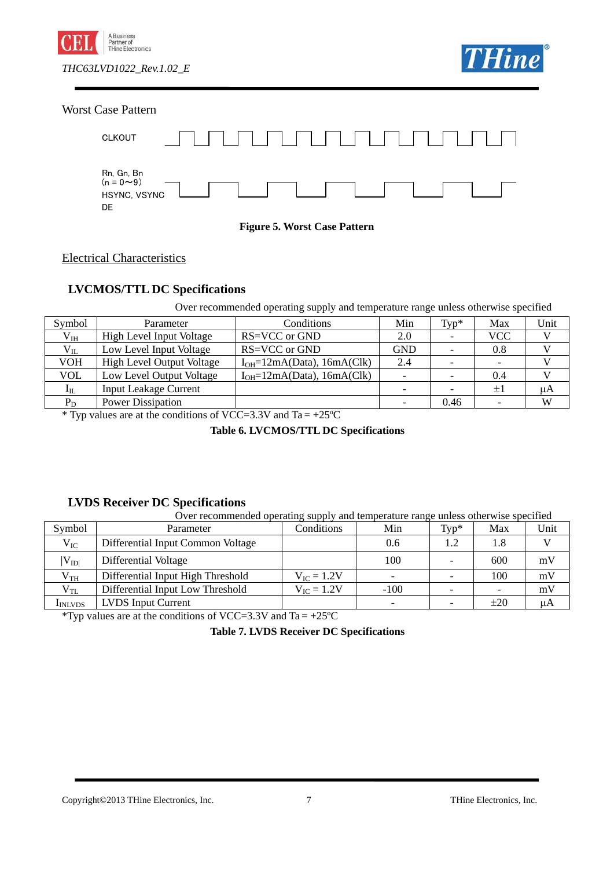





#### **Figure 5. Worst Case Pattern**

Electrical Characteristics

## **LVCMOS/TTL DC Specifications**

Over recommended operating supply and temperature range unless otherwise specified

| Symbol                             | Parameter                        | Conditions                                         | Min                      | $Typ^*$ | Max                      | Unit |
|------------------------------------|----------------------------------|----------------------------------------------------|--------------------------|---------|--------------------------|------|
| $V_{IH}$                           | <b>High Level Input Voltage</b>  | RS=VCC or GND                                      | 2.0                      |         | <b>VCC</b>               |      |
| $V_{IL}$                           | Low Level Input Voltage          | RS=VCC or GND                                      | <b>GND</b>               |         | 0.8                      |      |
| VOH                                | <b>High Level Output Voltage</b> | $I_{OH} = 12mA(Data), 16mA(Clk)$                   | 2.4                      |         | $\overline{\phantom{0}}$ |      |
| <b>VOL</b>                         | Low Level Output Voltage         | $I_{OH} = 12mA(Data), 16mA(Clk)$                   | $\overline{\phantom{0}}$ |         | 0.4                      |      |
| $\rm I_{IL}$                       | <b>Input Leakage Current</b>     |                                                    |                          |         | $\pm 1$                  | μA   |
| $P_D$                              | <b>Power Dissipation</b>         |                                                    |                          | 0.46    |                          | W    |
| $\sim$ $\sim$ $\sim$ $\sim$ $\sim$ |                                  | $0.7700$ $0.077$<br>$\sim$<br>$\sim$ $\sim$ $\sim$ |                          |         |                          |      |

\* Typ values are at the conditions of VCC=3.3V and Ta =  $+25^{\circ}$ C

**Table 6. LVCMOS/TTL DC Specifications**

## **LVDS Receiver DC Specifications**

|                 | Over recommended operating supply and temperature range unless otherwise specified |                        |        |          |                          |      |  |
|-----------------|------------------------------------------------------------------------------------|------------------------|--------|----------|--------------------------|------|--|
| Symbol          | Parameter                                                                          | Conditions             | Min    | $Tv p^*$ | Max                      | Unit |  |
| $\rm V_{IC}$    | Differential Input Common Voltage                                                  |                        | 0.6    | 1.2      | 1.8                      |      |  |
| $ V_{ID} $      | Differential Voltage                                                               |                        | 100    |          | 600                      | mV   |  |
| $V_{TH}$        | Differential Input High Threshold                                                  | $V_{\rm IC} = 1.2V$    |        |          | 100                      | mV   |  |
| $V_{TL}$        | Differential Input Low Threshold                                                   | $V_{\text{IC}} = 1.2V$ | $-100$ |          | $\overline{\phantom{0}}$ | mV   |  |
| <b>I</b> INLVDS | <b>LVDS</b> Input Current                                                          |                        |        |          | $\pm 20$                 | μA   |  |

\*Typ values are at the conditions of VCC=3.3V and Ta =  $+25^{\circ}$ C

**Table 7. LVDS Receiver DC Specifications**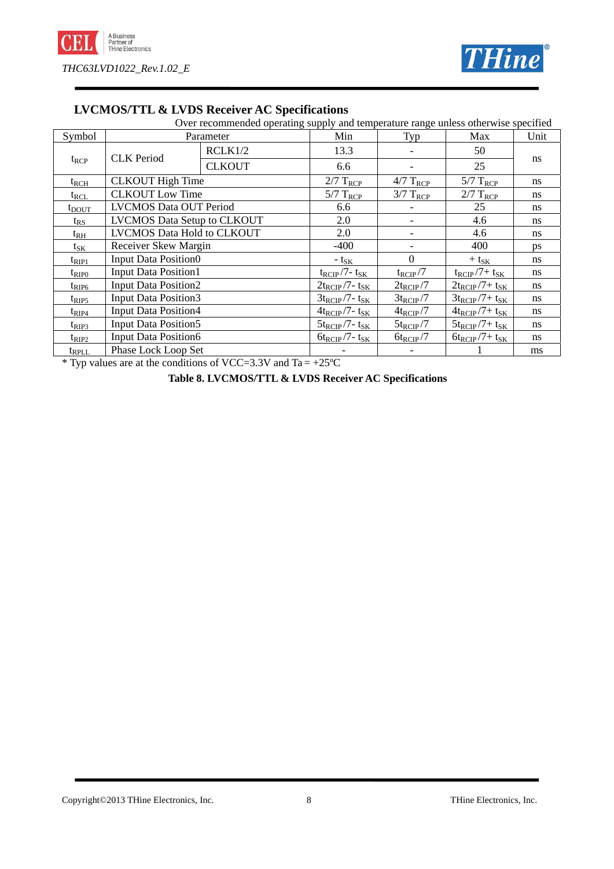



## **LVCMOS/TTL & LVDS Receiver AC Specifications**

Over recommended operating supply and temperature range unless otherwise specified

| Symbol         |                                   | Parameter               | Min                             | Typ                 | Max                   | Unit |  |
|----------------|-----------------------------------|-------------------------|---------------------------------|---------------------|-----------------------|------|--|
|                | <b>CLK</b> Period                 | RCLK1/2                 | 13.3                            |                     | 50                    |      |  |
| $t_{RCP}$      |                                   | <b>CLKOUT</b>           | 6.6                             |                     | 25                    | ns   |  |
| $t_{RCH}$      |                                   | <b>CLKOUT</b> High Time |                                 | $4/7$ $T_{RCP}$     | $5/7$ $T_{RCP}$       | ns   |  |
| $t_{RCL}$      | <b>CLKOUT Low Time</b>            |                         | $5/7$ $T_{R\underline{CP}}$     | $3/7$ $T_{RCP}$     | $2/7$ $T_{RCP}$       | ns   |  |
| $t_{\rm DOUT}$ | <b>LVCMOS Data OUT Period</b>     |                         | 6.6                             |                     | 25                    | ns   |  |
| $t_{RS}$       | LVCMOS Data Setup to CLKOUT       |                         | 2.0                             | -                   | 4.6                   | ns   |  |
| $t_{RH}$       | <b>LVCMOS Data Hold to CLKOUT</b> |                         | 2.0                             | -                   | 4.6                   | ns   |  |
| $t_{\rm SK}$   | <b>Receiver Skew Margin</b>       |                         | $-400$                          |                     | 400                   | ps   |  |
| $t_{\rm RIP1}$ | <b>Input Data Position0</b>       |                         | $-$ t <sub>SK</sub>             | $\Omega$            | $+$ t <sub>SK</sub>   | ns   |  |
| $t_{\rm RIP0}$ | <b>Input Data Position1</b>       |                         | $t_{RCIP}$ /7- $t_{SK}$         | $t_{\text{RCIP}}/7$ | $t_{RCIP}/7+ t_{SK}$  | ns   |  |
| $t_{\rm RIP6}$ | <b>Input Data Position2</b>       |                         | $2t_{RCIP}/7$ - t <sub>SK</sub> | $2t_{RCIP}/7$       | $2t_{RCIP}/7+ t_{SK}$ | ns   |  |
| $t_{\rm RIPS}$ | <b>Input Data Position3</b>       |                         | $3t_{RCIP}/7$ - t <sub>SK</sub> | $3t_{RCIP}/7$       | $3t_{RCIP}/7+ t_{SK}$ | ns   |  |
| $t_{\rm RIP4}$ | <b>Input Data Position4</b>       |                         | $4t_{RCIP}/7$ - t <sub>SK</sub> | $4t_{RCIP}/7$       | $4t_{RCIP}/7+ t_{SK}$ | ns   |  |
| $t_{\rm RIP3}$ | <b>Input Data Position5</b>       |                         | $5t_{RCIP}/7$ - t <sub>SK</sub> | $5t_{RCIP}/7$       | $5t_{RCIP}/7+ t_{SK}$ | ns   |  |
| $t_{\rm RIP2}$ | <b>Input Data Position6</b>       |                         | $6t_{RCIP}/7$ - t <sub>SK</sub> | $6t_{RCIP}/7$       | $6t_{RCIP}/7+ t_{SK}$ | ns   |  |
| $t_{RPLL}$     | Phase Lock Loop Set               |                         |                                 |                     |                       | ms   |  |

\* Typ values are at the conditions of VCC=3.3V and Ta =  $+25^{\circ}$ C

**Table 8. LVCMOS/TTL & LVDS Receiver AC Specifications**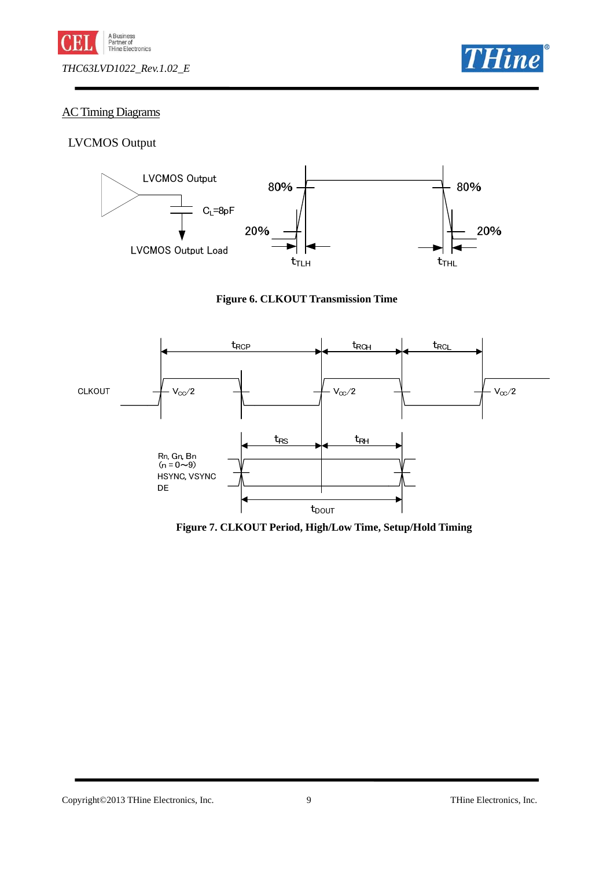



## AC Timing Diagrams

## LVCMOS Output







**Figure 7. CLKOUT Period, High/Low Time, Setup/Hold Timing** 

Copyright©2013 THine Electronics, Inc. 9 THine Electronics, Inc.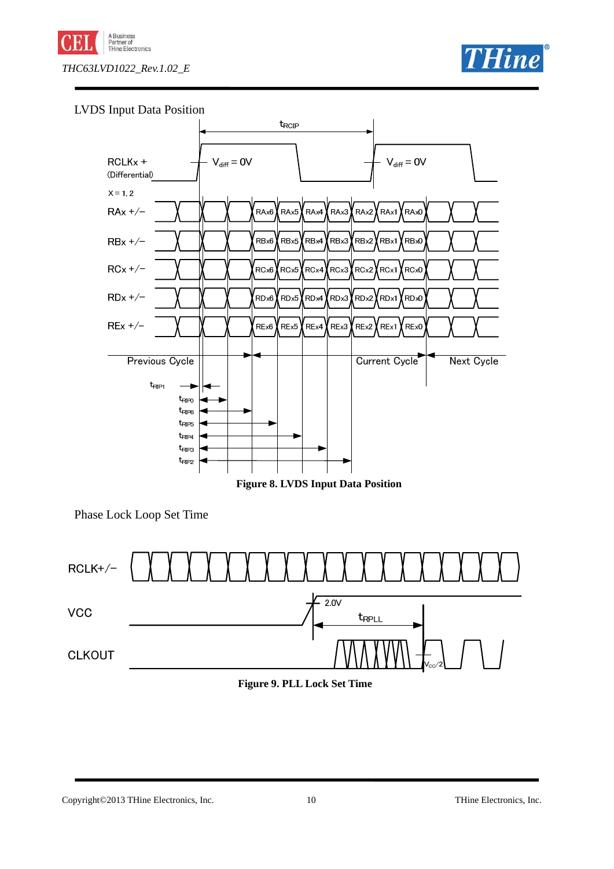





**Figure 8. LVDS Input Data Position** 

Phase Lock Loop Set Time



**Figure 9. PLL Lock Set Time** 

#### Copyright©2013 THine Electronics, Inc. 10 THine Electronics, Inc.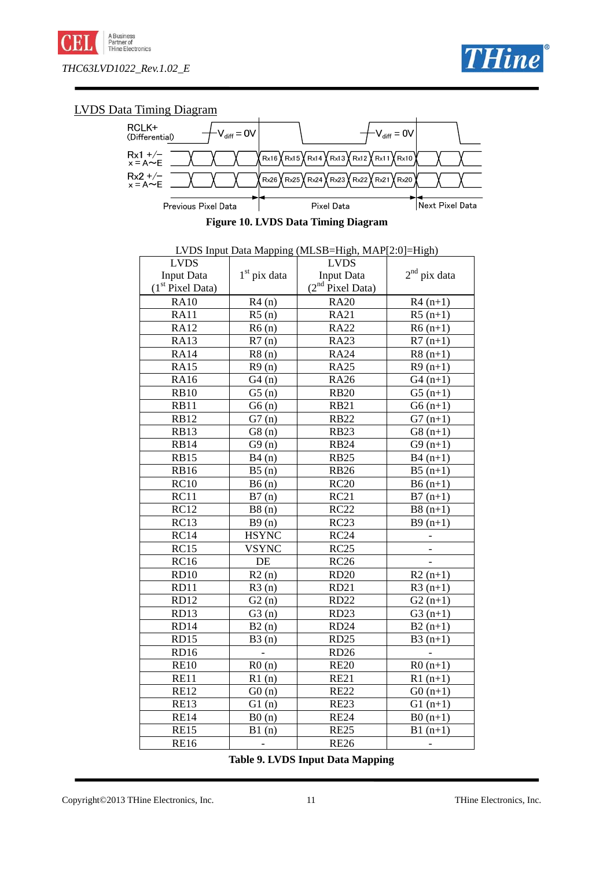



## LVDS Data Timing Diagram



**Figure 10. LVDS Data Timing Diagram** 

| LVDS Input Data Mapping (MLSB=High, MAP[2:0]=High) |                          |                           |                   |  |  |
|----------------------------------------------------|--------------------------|---------------------------|-------------------|--|--|
| <b>LVDS</b>                                        |                          | <b>LVDS</b>               |                   |  |  |
| <b>Input Data</b>                                  | $1st$ pix data           | <b>Input Data</b>         | $2^{nd}$ pix data |  |  |
| $(1st$ Pixel Data)                                 |                          | $(2nd \text{pixel Data})$ |                   |  |  |
| <b>RA10</b>                                        | R4(n)                    | <b>RA20</b>               | $R4(n+1)$         |  |  |
| <b>RA11</b>                                        | R5(n)                    | <b>RA21</b>               | $R5(n+1)$         |  |  |
| <b>RA12</b>                                        | R6(n)                    | <b>RA22</b>               | $R6(n+1)$         |  |  |
| <b>RA13</b>                                        | R7(n)                    | <b>RA23</b>               | $R7(n+1)$         |  |  |
| <b>RA14</b>                                        | R8(n)                    | <b>RA24</b>               | $R8(n+1)$         |  |  |
| <b>RA15</b>                                        | R9(n)                    | <b>RA25</b>               | $R9(n+1)$         |  |  |
| <b>RA16</b>                                        | G4(n)                    | <b>RA26</b>               | $G4(n+1)$         |  |  |
| <b>RB10</b>                                        | G5(n)                    | <b>RB20</b>               | $G5(n+1)$         |  |  |
| <b>RB11</b>                                        | G6(n)                    | <b>RB21</b>               | $G6(n+1)$         |  |  |
| <b>RB12</b>                                        | G7(n)                    | <b>RB22</b>               | $G7(n+1)$         |  |  |
| <b>RB13</b>                                        | G8(n)                    | <b>RB23</b>               | $G8(n+1)$         |  |  |
| <b>RB14</b>                                        | G9(n)                    | <b>RB24</b>               | $G9(n+1)$         |  |  |
| <b>RB15</b>                                        | B4(n)                    | <b>RB25</b>               | $B4(n+1)$         |  |  |
| <b>RB16</b>                                        | B5(n)                    | <b>RB26</b>               | $B5(n+1)$         |  |  |
| RC10                                               | B6(n)                    | RC20                      | $B6(n+1)$         |  |  |
| RC11                                               | B7(n)                    | RC21                      | $B7(n+1)$         |  |  |
| RC12                                               | B8(n)                    | RC22                      | $B8(n+1)$         |  |  |
| RC13                                               | B9(n)                    | RC23                      | $B9(n+1)$         |  |  |
| RC14                                               | <b>HSYNC</b>             | RC24                      |                   |  |  |
| RC15                                               | <b>VSYNC</b>             | RC25                      |                   |  |  |
| <b>RC16</b>                                        | DE                       | <b>RC26</b>               |                   |  |  |
| <b>RD10</b>                                        | R2(n)                    | <b>RD20</b>               | $R2(n+1)$         |  |  |
| RD11                                               | R3(n)                    | <b>RD21</b>               | $R3(n+1)$         |  |  |
| RD12                                               | G2(n)                    | <b>RD22</b>               | $G2(n+1)$         |  |  |
| RD13                                               | G3(n)                    | RD <sub>23</sub>          | $G3(n+1)$         |  |  |
| RD14                                               | B2(n)                    | RD <sub>24</sub>          | $B2(n+1)$         |  |  |
| RD15                                               | B3(n)                    | <b>RD25</b>               | $B3(n+1)$         |  |  |
| RD16                                               | $\overline{\phantom{a}}$ | <b>RD26</b>               |                   |  |  |
| <b>RE10</b>                                        | R0(n)                    | <b>RE20</b>               | $R0(n+1)$         |  |  |
| RE11                                               | R1(n)                    | <b>RE21</b>               | $R1(n+1)$         |  |  |
| <b>RE12</b>                                        | G0(n)                    | <b>RE22</b>               | $G0(n+1)$         |  |  |
| <b>RE13</b>                                        | G1(n)                    | <b>RE23</b>               | $G1(n+1)$         |  |  |
| <b>RE14</b>                                        | B0(n)                    | <b>RE24</b>               | $B0(n+1)$         |  |  |
| <b>RE15</b>                                        | B1(n)                    | <b>RE25</b>               | $B1(n+1)$         |  |  |
| <b>RE16</b>                                        | $\overline{\phantom{a}}$ | <b>RE26</b>               |                   |  |  |

**Table 9. LVDS Input Data Mapping**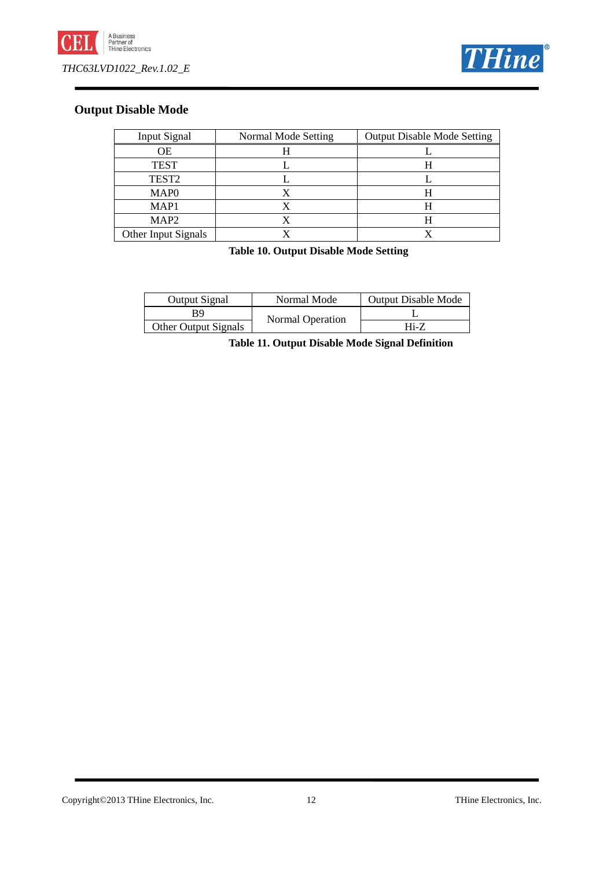



## **Output Disable Mode**

| Input Signal        | Normal Mode Setting | <b>Output Disable Mode Setting</b> |
|---------------------|---------------------|------------------------------------|
| ОE                  |                     |                                    |
| <b>TEST</b>         |                     |                                    |
| TEST <sub>2</sub>   |                     |                                    |
| MAP <sub>0</sub>    |                     |                                    |
| MAP <sub>1</sub>    |                     |                                    |
| MAP <sub>2</sub>    |                     |                                    |
| Other Input Signals |                     |                                    |

**Table 10. Output Disable Mode Setting**

| <b>Output Signal</b> | Normal Mode      | <b>Output Disable Mode</b> |
|----------------------|------------------|----------------------------|
| R9                   | Normal Operation |                            |
| Other Output Signals |                  | Hi-7                       |

**Table 11. Output Disable Mode Signal Definition**

Copyright©2013 THine Electronics, Inc. 12 THine Electronics, Inc.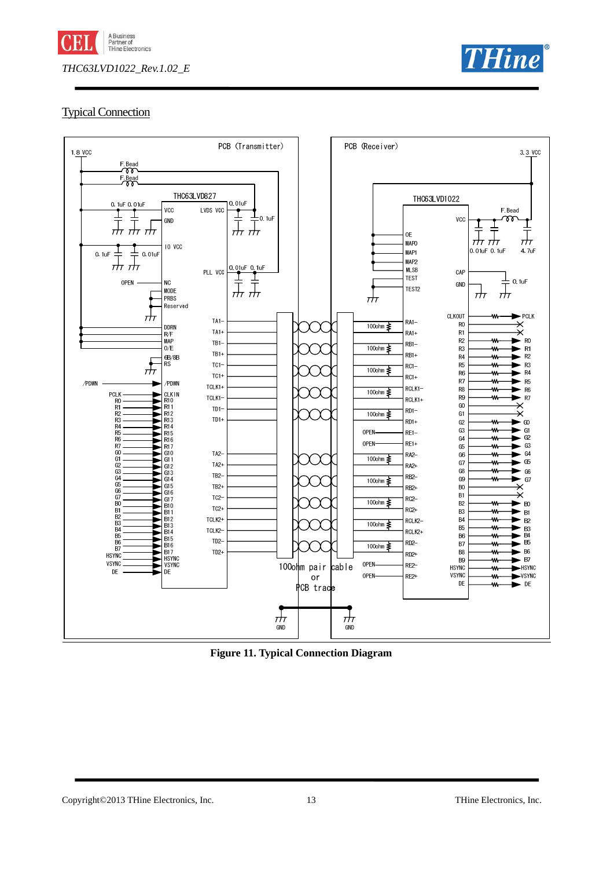



## Typical Connection



**Figure 11. Typical Connection Diagram**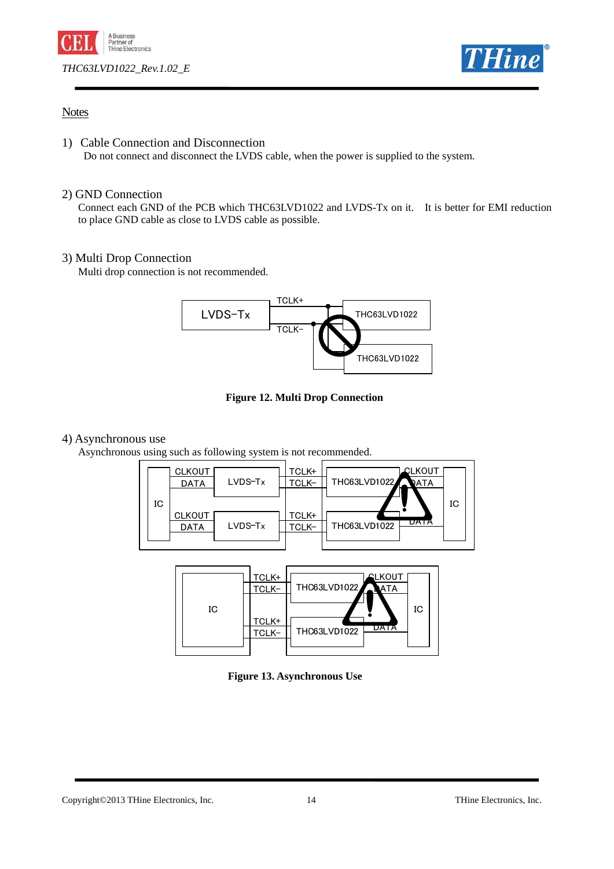



## **Notes**

1) Cable Connection and Disconnection

Do not connect and disconnect the LVDS cable, when the power is supplied to the system.

## 2) GND Connection

 Connect each GND of the PCB which THC63LVD1022 and LVDS-Tx on it. It is better for EMI reduction to place GND cable as close to LVDS cable as possible.

## 3) Multi Drop Connection

Multi drop connection is not recommended.



**Figure 12. Multi Drop Connection** 

#### 4) Asynchronous use

Asynchronous using such as following system is not recommended.





**Figure 13. Asynchronous Use** 

#### Copyright©2013 THine Electronics, Inc. 14 THine Electronics, Inc.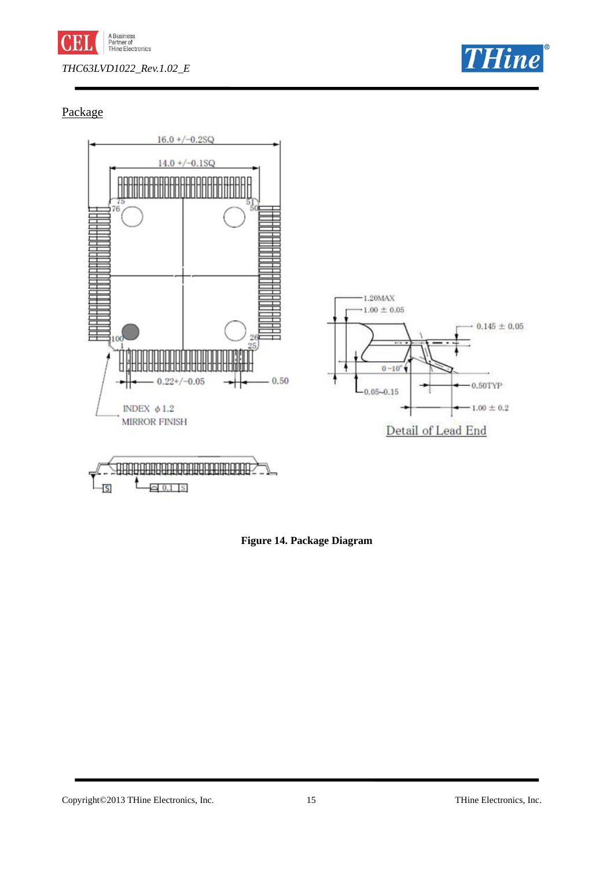



## Package



**Figure 14. Package Diagram** 

Copyright©2013 THine Electronics, Inc. 15 THine Electronics, Inc.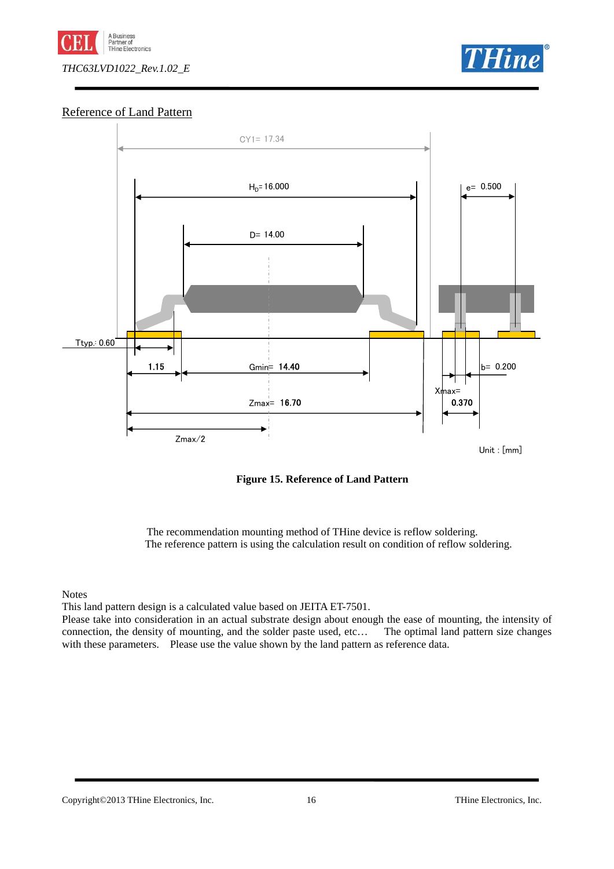



## Reference of Land Pattern



**Figure 15. Reference of Land Pattern** 

The recommendation mounting method of THine device is reflow soldering. The reference pattern is using the calculation result on condition of reflow soldering.

Notes

This land pattern design is a calculated value based on JEITA ET-7501.

Please take into consideration in an actual substrate design about enough the ease of mounting, the intensity of connection, the density of mounting, and the solder paste used, etc… The optimal land pattern size changes with these parameters. Please use the value shown by the land pattern as reference data.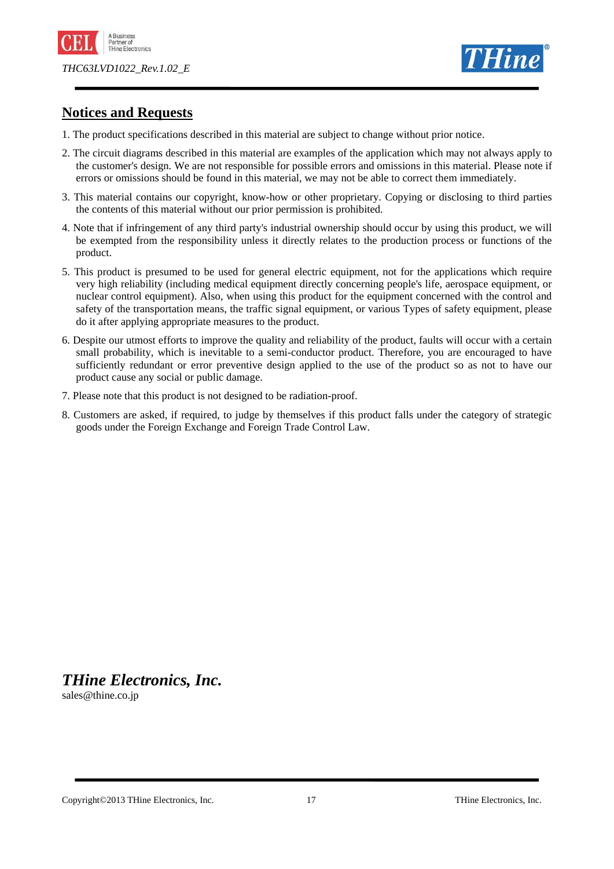



## **Notices and Requests**

- 1. The product specifications described in this material are subject to change without prior notice.
- 2. The circuit diagrams described in this material are examples of the application which may not always apply to the customer's design. We are not responsible for possible errors and omissions in this material. Please note if errors or omissions should be found in this material, we may not be able to correct them immediately.
- 3. This material contains our copyright, know-how or other proprietary. Copying or disclosing to third parties the contents of this material without our prior permission is prohibited.
- 4. Note that if infringement of any third party's industrial ownership should occur by using this product, we will be exempted from the responsibility unless it directly relates to the production process or functions of the product.
- 5. This product is presumed to be used for general electric equipment, not for the applications which require very high reliability (including medical equipment directly concerning people's life, aerospace equipment, or nuclear control equipment). Also, when using this product for the equipment concerned with the control and safety of the transportation means, the traffic signal equipment, or various Types of safety equipment, please do it after applying appropriate measures to the product.
- 6. Despite our utmost efforts to improve the quality and reliability of the product, faults will occur with a certain small probability, which is inevitable to a semi-conductor product. Therefore, you are encouraged to have sufficiently redundant or error preventive design applied to the use of the product so as not to have our product cause any social or public damage.
- 7. Please note that this product is not designed to be radiation-proof.
- 8. Customers are asked, if required, to judge by themselves if this product falls under the category of strategic goods under the Foreign Exchange and Foreign Trade Control Law.

*THine Electronics, Inc.* 

sales@thine.co.jp